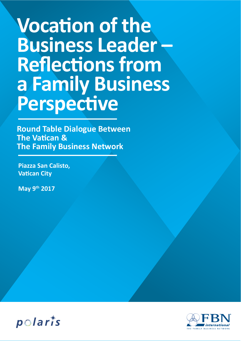# **Vocation of the Business Leader – Reflections from a Family Business Perspective**

**Round Table Dialogue Between The Vatican & The Family Business Network**

**Piazza San Calisto, Vatican City**

**May 9th 2017**



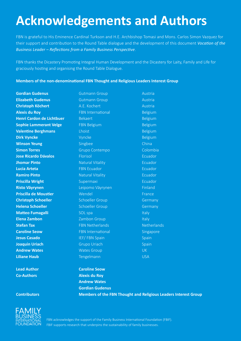# **Acknowledgements and Authors**

FBN is grateful to His Eminence Cardinal Turkson and H.E. Archbishop Tomasi and Mons. Carlos Simon Vazquez for their support and contribution to the Round Table dialogue and the development of this document *Vocation of the Business Leader – Reflections from a Family Business Perspective*.

FBN thanks the Dicastery Promoting Integral Human Development and the Dicastery for Laity, Family and Life for graciously hosting and organising the Round Table Dialogue.

**Members of the non-denominational FBN Thought and Religious Leaders Interest Group**



**Lead Author Caroline Seow Co-Authors Alexis du Roy Andrew Wates Gordian Gudenus Contributors Members of the FBN Thought and Religious Leaders Interest Group**



FBN acknowledges the support of the Family Business International Foundation (FBIF). FBIF supports research that underpins the sustainability of family businesses.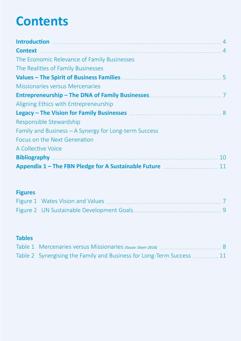# **Contents**

| Introduction 2008 and 2008 and 2008 and 2008 and 2008 and 2008 and 2008 and 2008 and 2008 and 2008 and 2008 and 2008 and 2008 and 2008 and 2008 and 2008 and 2008 and 2008 and 2008 and 2008 and 2008 and 2008 and 2008 and 20 |    |
|--------------------------------------------------------------------------------------------------------------------------------------------------------------------------------------------------------------------------------|----|
| <b>Context</b>                                                                                                                                                                                                                 |    |
| The Economic Relevance of Family Businesses                                                                                                                                                                                    |    |
| The Realities of Family Businesses                                                                                                                                                                                             |    |
| Values – The Spirit of Business Families <b>Manual Accord 2018</b> 5                                                                                                                                                           |    |
| <b>Missionaries versus Mercenaries</b>                                                                                                                                                                                         |    |
|                                                                                                                                                                                                                                |    |
| Aligning Ethics with Entrepreneurship                                                                                                                                                                                          |    |
| Legacy – The Vision for Family Businesses <b>Manual Exercise Act and Sepacy</b> – The Vision for Family Businesses <b>Manual</b> 2004                                                                                          |    |
| Responsible Stewardship                                                                                                                                                                                                        |    |
| Family and Business – A Synergy for Long-term Success                                                                                                                                                                          |    |
| Focus on the Next Generation                                                                                                                                                                                                   |    |
| A Collective Voice                                                                                                                                                                                                             |    |
|                                                                                                                                                                                                                                | 10 |
|                                                                                                                                                                                                                                |    |

# **Figures**

# **Tables**

| Table 2 Synergising the Family and Business for Long-Term Success  11 |  |
|-----------------------------------------------------------------------|--|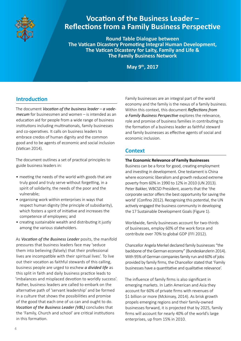

# **Vocation of the Business Leader – Reflections from a Family Business Perspective**

**Round Table Dialogue between The Vatican Dicastery Promoting Integral Human Development, The Vatican Dicastery for Laity, Family and Life & The Family Business Network**

**May 9th, 2017**

## **Introduction**

The document *Vocation of the business leader – a vademecum* for businessmen and women – is intended as an education aid for people from a wide range of business institutions including multinationals, family businesses and co-operatives. It calls on business leaders to embrace credos of human dignity and the common good and to be agents of economic and social inclusion (Vatican 2014).

The document outlines a set of practical principles to guide business leaders in:

- meeting the needs of the world with goods that are truly good and truly serve without forgetting, in a spirit of solidarity, the needs of the poor and the vulnerable;
- organising work within enterprises in ways that respect human dignity (the principle of subsidiarity), which fosters a spirit of initiative and increases the competence of employees; and
- creating sustainable wealth and distributing it justly among the various stakeholders.

As *Vocation of the Business Leader* posits, the manifold pressures that business leaders face may 'seduce them into believing (falsely) that their professional lives are incompatible with their spiritual lives'. To live out their vocation as faithful stewards of this calling, business people are urged to eschew *a divided life* as this split in faith and daily business practice leads to 'imbalances and misplaced devotion to worldly success'. Rather, business leaders are called to embark on the alternative path of 'servant leadership' and be formed in a culture that shows the possibilities and promise of the good that each one of us can and ought to do. *Vocation of the Business Leader (VBL)* concludes that the 'Family, Church and school' are critical institutions in this formation.

Family businesses are an integral part of the world economy and the family is the nexus of a family business. Within this context, this document *Reflections from a Family Business Perspective* explores the relevance, role and promise of business families in contributing to the formation of a business leader as faithful steward and family businesses as effective agents of social and economic inclusion.

### **Context**

#### **The Economic Relevance of Family Businesses**

Business can be a force for good, creating employment and investing in development. One testament is China where economic liberalism and growth reduced extreme poverty from 60% in 1990 to 12% in 2010 (UN 2013). Peter Bakker, WBCSD President, asserts that the 'the corporate sector offers the best opportunity for saving the world' (Confino 2012). Recognising this potential, the UN actively engaged the business community in developing the 17 Sustainable Development Goals (Figure 1).

Worldwide, family businesses account for two-thirds of businesses, employ 60% of the work force and contribute over 70% to global GDP (FFI 2012).

Chancellor Angela Merkel declared family businesses "the backbone of the German economy" (Bundeskanzlerin 2014). With 95% of German companies family run and 60% of jobs provided by family firms, the Chancellor stated that 'Family businesses have a quantitative and qualitative relevance'.

The influence of family firms is also significant in emerging markets. In Latin American and Asia they account for 60% of private firms with revenues of \$1 billion or more (Mckinsey, 2014). As brisk growth propels emerging regions and their family-owned businesses forward, it is projected that by 2025, family firms will account for nearly 40% of the world's large enterprises, up from 15% in 2010.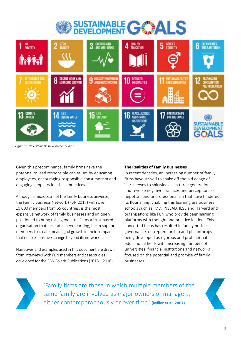



*Figure 1: UN Sustainable Development Goals*

Given this predominance, family firms have the potential to lead responsible capitalism by educating employees, encouraging responsible consumerism and engaging suppliers in ethical practices.

Although a microcosm of the family business universe, the Family Business Network (FBN 2017) with over 10,000 members from 65 countries, is the most expansive network of family businesses and uniquely positioned to bring this agenda to life. As a trust based organisation that facilitates peer learning, it can support members to create meaningful growth in their companies that enables positive change beyond its network.

Narratives and examples used in this document are drawn from interviews with FBN members and case studies developed for the FBN Polaris Publications (2015 – 2016).

#### **The Realities of Family Businesses**

In recent decades, an increasing number of family firms have strived to shake off the old adage of 'shirtsleeves to shirtsleeves in three generations' and reverse negative practices and perceptions of nepotism and unprofessionalism that have hindered its flourishing. Enabling this learning are business schools such as IMD, INSEAD, IESE and Harvard and organisations like FBN who provide peer learning platforms with thought and practice leaders. This concerted focus has resulted in family business governance, entrepreneurship and philanthropy being developed as rigorous and professional educational fields with increasing numbers of universities, financial institutions and networks focused on the potential and promise of family businesses.



'Family firms are those in which multiple members of the same family are involved as major owners or managers, either contemporaneously or over time.' **(Miller et al. 2007)**

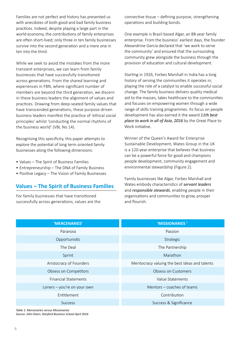Families are not perfect and history has presented us with anecdotes of both good and bad family business practices. Indeed, despite playing a large part in the world economy, the contributions of family enterprises are often short-lived; only three in ten family businesses survive into the second generation and a mere one in ten into the third.

While we seek to avoid the mistakes from the more transient enterprises, we can learn from family businesses that have successfully transitioned across generations. From the shared learning and experiences in FBN, where significant number of members are beyond the third generation, we discern in these business leaders the alignment of values and practices. Drawing from deep-seated family values that have transcended generations, these purpose-driven business leaders manifest the practice of 'ethical social principles' whilst 'conducting the normal rhythms of the business world' (VBL No 14).

Recognising this specificity, this paper attempts to explore the potential of long term oriented family businesses along the following dimensions:

- Values The Spirit of Business Families
- Entrepreneurship The DNA of Family Business
- Positive Legacy The Vision of Family Businesses

## **Values – The Spirit of Business Families**

For family businesses that have transitioned successfully across generations, values are the connective tissue – defining purpose, strengthening operations and building bonds.

One example is Brazil based Algar, an 88-year family enterprise. From the business' earliest days, the founder Alexandrine Garcia declared that 'we work to serve the community' and ensured that the surrounding community grew alongside the business through the provision of education and cultural development.

Starting in 1926, Forbes Marshall in India has a long history of serving the communities it operates in; playing the role of a catalyst to enable successful social change. The family business delivers quality medical aid to the masses, takes healthcare to the communities and focuses on empowering women through a wide range of skills training programmes. Its focus on people development has also earned it the award *11th best place to work in all of Asia, 2016* by the Great Place to Work initiative.

Winner of the Queen's Award for Enterprise Sustainable Development, Wates Group in the UK is a 120-year enterprise that believes that business can be a powerful force for good and champions people development, community engagement and environmental stewardship (Figure 2).

Family businesses like Algar, Forbes Marshall and Wates embody characteristics of *servant leaders* and *responsible stewards*, enabling people in their organisations and communities to grow, prosper and flourish.

| 'MERCENARIES'               | 'MISSIONARIES'                                 |
|-----------------------------|------------------------------------------------|
| Paranoia                    | Passion                                        |
| Opportunistic               | Strategic                                      |
| The Deal                    | The Partnership                                |
| Sprint                      | Marathon                                       |
| Aristocracy of Founders     | Meritocracy valuing the best ideas and talents |
| Obsess on Competitors       | <b>Obsess on Customers</b>                     |
| <b>Financial Statements</b> | Value Statements                               |
| Loners - you're on your own | Mentors - coaches of teams                     |
| Entitlement                 | Contribution                                   |
| <b>Success</b>              | Success & Significance                         |

*Table 1: Mercenaries versus Missionaries Source: John Doerr, Stanford Business School April 2016*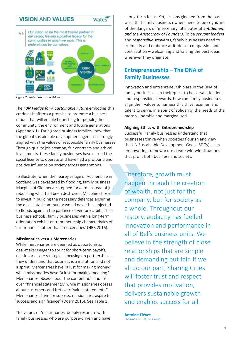

*Figure 2: Wates Vision and Values*

The *FBN Pledge for A Sustainable Future* embodies this credo as it affirms a promise to promote a business model that will enable flourishing for people, the community, the environment and future generations (Appendix 1). Far-sighted business families know that the global sustainable development agenda is strongly aligned with the values of responsible family businesses. Through quality job creation, fair contracts and ethical investments, these family businesses have earned the social license to operate and have had a profound and positive influence on society across generations.

To illustrate, when the nearby village of Auchenblae in Scotland was devastated by flooding, family business Macphie of Glenbervie stepped forward. Instead of just rebuilding what had been destroyed, Macphie chose to invest in building the necessary defences ensuring the devastated community would never be subjected to floods again. In the parlance of venture capitalists or business schools, family businesses with a long-term orientation exhibit entrepreneurship characteristics of 'missionaries' rather than 'mercenaries' (HBR 2016).

#### **Missionaries versus Mercenaries**

While mercenaries are deemed as opportunistic deal-makers eager to sprint for short-term payoffs, missionaries are strategic – focusing on partnerships as they understand that business is a marathon and not a sprint. Mercenaries have "a lust for making money," while missionaries have "a lust for making meaning." Mercenaries obsess about the competition and fret over "financial statements," while missionaries obsess about customers and fret over "values statements." Mercenaries strive for success; missionaries aspire to "success and significance" (Doerr 2016). See Table 1.

The values of 'missionaries' deeply resonate with family businesses who are purpose-driven and have a long-term focus. Yet, lessons gleaned from the past warn that family business owners need to be cognizant of the dangers of 'mercenary' attributes of *Entitlement and the Aristocracy of Founders*. To be *servant leaders*  and *responsible stewards*, family businesses need to exemplify and embrace attitudes of compassion and contribution – welcoming and valuing the best ideas wherever they originate.

## **Entrepreneurship – The DNA of Family Businesses**

Innovation and entrepreneurship are in the DNA of family businesses. In their quest to be servant leaders and responsible stewards, how can family businesses align their values to harness this drive, acumen and talent to serve, in a spirit of solidarity, the needs of the more vulnerable and marginalised.

#### **Aligning Ethics with Entrepreneurship**

Successful Family businesses understand that businesses thrive when societies flourish and view the UN Sustainable Development Goals (SDGs) as an empowering framework to create win-win situations that profit both business and society.

Therefore, growth must happen through the creation of wealth, not just for the company, but for society as a whole. Throughout our history, audacity has fuelled innovation and performance in all of Bel's business units. We believe in the strength of close relationships that are simple and demanding but fair. If we all do our part, Sharing Cities will foster trust and respect that provides motivation, delivers sustainable growth and enables success for all.

**Antoine Fiévet** Chairman & CEO, Bel Group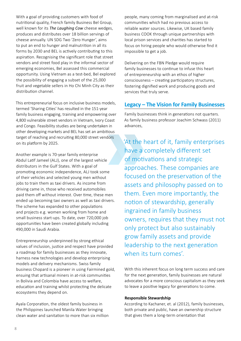With a goal of providing customers with food of nutritional quality, French family Business Bel Group, well known for its *The Laughing Cow* cheese wedges, produces and distributes over 18 billion servings of cheese annually. UN SDG Two 'Zero Hunger', aims to put an end to hunger and malnutrition in all its forms by 2030 and BEL is actively contributing to this aspiration. Recognising the significant role that street vendors and street food play in the informal sector of emerging economies, Bel assessed this commercial opportunity. Using Vietnam as a test-bed, Bel explored the possibility of engaging a subset of the 25,000 fruit and vegetable sellers in Ho Chi Minh City as their distribution channel.

This entrepreneurial focus on inclusive business models, termed 'Sharing Cities' has resulted in the 151-year family business engaging, training and empowering over 4,800 vulnerable street vendors in Vietnam, Ivory Coast and Congo. Feasibility studies are being undertaken in other developing markets and BEL has set an ambitious target of reaching and recruiting 80,000 street vendors on its platform by 2025.

Another example is 70-year family enterprise Abdul Latif Jameel (ALJ), one of the largest vehicle distributors in the Gulf States. With a goal of promoting economic independence, ALJ took some of their vehicles and selected young men without jobs to train them as taxi drivers. As income from driving came in, those who received automobiles paid them off without interest. Over time, these men ended up becoming taxi owners as well as taxi drivers. The scheme has expanded to other populations and projects e.g. women working from home and small business start-ups. To date, over 720,000 job opportunities have been created globally including 490,000 in Saudi Arabia.

Entrepreneurship underpinned by strong ethical values of inclusion, justice and respect have provided a roadmap for family businesses as they innovate, harness new technologies and develop enterprising models and delivery mechanisms. Swiss family business Chopard is a pioneer in using Fairmined gold, ensuing that artisanal miners in at-risk communities in Bolivia and Colombia have access to welfare, education and training whilst protecting the delicate ecosystems they depend on.

Ayala Corporation, the oldest family business in the Philippines launched Manila Water bringing clean water and sanitation to more than six million people, many coming from marginalised and at-risk communities which had no previous access to reliable water sources. Likewise, UK based family business COOK through unique partnerships with local prison services and charities has started to focus on hiring people who would otherwise find it impossible to get a job.

Delivering on the FBN Pledge would require family businesses to continue to infuse this heart of entrepreneurship with an ethos of higher consciousness – creating participatory structures, fostering dignified work and producing goods and services that truly serve.

### **Legacy – The Vision for Family Businesses**

Family businesses think in generations not quarters. As family business professor Joachim Schwass (2011) advances,

'At the heart of it, family enterprises have a completely different set of motivations and strategic approaches. These companies are focused on the preservation of the assets and philosophy passed on to them. Even more importantly, the notion of stewardship, generally ingrained in family business owners, requires that they must not only protect but also sustainably grow family assets and provide leadership to the next generation when its turn comes'.

With this inherent focus on long term success and care for the next generation, family businesses are natural advocates for a more conscious capitalism as they seek to leave a positive legacy for generations to come.

#### **Responsible Stewardship**

According to Kachaner, et. al (2012), family businesses, both private and public, have an ownership structure that gives them a long-term orientation that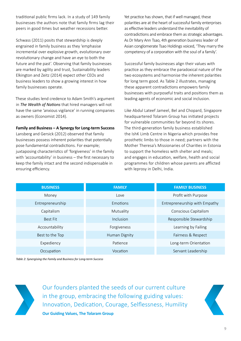traditional public firms lack. In a study of 149 family businesses the authors note that family firms lag their peers in good times but weather recessions better.

Schwass (2011) posits that stewardship is deeply engrained in family business as they 'emphasise incremental over explosive growth, evolutionary over revolutionary change and have an eye to both the future and the past'. Observing that family businesses are marked by agility and trust, Sustainability leaders Elkington and Zeitz (2014) expect other CEOs and business leaders to show a growing interest in how family businesses operate.

These studies lend credence to Adam Smith's argument in *The Wealth of Nations* that hired managers will not have the same 'anxious vigilance' in running companies as owners (Economist 2014).

**Family and Business – A Synergy for Long-term Success** 

Lansberg and Gersick (2012) observed that family businesses possess inherent polarities that potentially pose fundamental contradictions. For example; juxtaposing characteristics of 'forgiveness' in the family with 'accountability' in business – the first necessary to keep the family intact and the second indispensable in ensuring efficiency.

Yet practice has shown, that if well managed, these polarities are at the heart of successful family enterprises as effective leaders understand the inevitability of contradictions and embrace them as strategic advantages. As Dr Mary Ann Tsao, 4th generation business leader of Asian conglomerate Tsao Holdings voiced, 'They marry the competency of a corporation with the soul of a family'.

Successful family businesses align their values with practice as they embrace the paradoxical nature of the two ecosystems and harmonise the inherent polarities for long term good. As Table 2 illustrates, managing these apparent contradictions empowers family businesses with purposeful traits and positions them as leading agents of economic and social inclusion.

Like Abdul Lateef Jameel, Bel and Chopard, Singapore headquartered Tolaram Group has initiated projects for vulnerable communities far beyond its shores. The third-generation family business established the IshK Limb Centre in Nigeria which provides free prosthetic limbs to those in need; partners with the Mother Theresa's Missionaries of Charities in Estonia to support the homeless with shelter and meals; and engages in education, welfare, health and social programmes for children whose parents are afflicted with leprosy in Delhi, India.

| <b>BUSINESS</b>  | <b>FAMILY</b> | <b>FAMILY BUSINESS</b>        |  |
|------------------|---------------|-------------------------------|--|
| Money            | Love          | Profit with Purpose           |  |
| Entrepreneurship | Emotions      | Entrepreneurship with Empathy |  |
| Capitalism       | Mutuality     | Conscious Capitalism          |  |
| <b>Best Fit</b>  | Inclusion     | Responsible Stewardship       |  |
| Accountability   | Forgiveness   | Learning by Failing           |  |
| Best to the Top  | Human Dignity | Fairness & Respect            |  |
| Expediency       | Patience      | Long-term Orientation         |  |
| Occupation       | Vocation      | Servant Leadership            |  |

*Table 2: Synergising the Family and Business for Long-term Success* 



Our founders planted the seeds of our current culture in the group, embracing the following guiding values: Innovation, Dedication, Courage, Selflessness, Humility **Our Guiding Values, The Tolaram Group** 

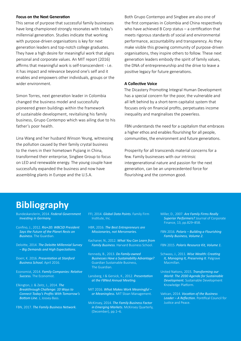#### **Focus on the Next Generation**

This sense of purpose that successful family businesses have long championed strongly resonates with today's millennial generation. Studies indicate that working with purpose-driven organisations is key for next generation leaders and top-notch college graduates. They have a high desire for meaningful work that aligns personal and corporate values. An MIT report (2016) affirms that meaningful work is self-transcendent - i.e. it has impact and relevance beyond one's self and it enables and empowers other individuals, groups or the wider environment.

Simon Torres, next generation leader in Colombia changed the business model and successfully pioneered green buildings within the framework of sustainable development, revitalising his family business, Grupo Contempo which was ailing due to his father's poor health.

Lina Wang and her husband Winson Yeung, witnessing the pollution caused by their family crystal business to the rivers in their hometown Pujiang in China, transformed their enterprise, Singbee Group to focus on LED and renewable energy. The young couple have successfully expanded the business and now have assembling plants in Europe and the U.S.A.

Both Grupo Contempo and Singbee are also one of the first companies in Colombia and China respectively who have achieved B Corp status – a certification that meets rigorous standards of social and environmental performance, accountability and transparency. As they make visible this growing community of purpose-driven organisations, they inspire others to follow. These next generation leaders embody the spirit of family values, the DNA of entrepreneurship and the drive to leave a positive legacy for future generations.

#### **A Collective Voice**

The Dicastery Promoting Integral Human Development has a special concern for the poor, the vulnerable and all left behind by a short-term capitalist system that focuses only on financial profits, perpetuates income inequality and marginalises the powerless.

FBN understands the need for a capitalism that embraces a higher ethos and enables flourishing for all people, communities, the environment and future generations.

Prosperity for all transcends material concerns for a few. Family businesses with our intrinsic intergenerational nature and passion for the next generation, can be an unprecedented force for flourishing and the common good.

# **Bibliography**

- Bundeskanzlerin, 2014. *Federal Government Investing in Germany.*
- Confino, J., 2012. *Rio+20: WBCSD President Says the Future of the Planet Rests on Business.* The Guardian.
- Deloitte, 2014. *The Deloitte Millennial Survey – Big Demands and High Expectations.*
- Doerr, K. 2016. *Presentation at Stanford Business School.* April 2016.
- Economist, 2014. *Family Companies: Relative Success.* The Economist.
- Elkington, J. & Zeitz, J., 2014. *The Breakthrough Challenge: 10 Ways to Connect Today's Profits With Tomorrow's Bottom Line.* J, Jossey-Bass.
- FBN, 2017. *The Family Business Network.*
- FFI, 2014. *Global Data Points.* Family Firm
- HBR, 2016. *The Best Entrepreneurs are Missionaries, not Mercenaries.*
- Kachaner, N., 2012. *What You Can Learn from Family Business.* Harvard Business School.
- Kennedy, B., 2013. *Do Family-owned Businesses Have a Sustainability Advantage?* Guardian Sustainable Business, The Guardian.
- Lansberg, I & Gersick, K., 2012. *Presentation at the FBNed Annual Meeting.*
- MIT 2016. *What Makes Work Meaningful or Meaningless.* MIT Sloan Management.
- McKinsey, 2014. *The Family Business Factor in Emerging Markets.* McKinsey Quarterly, (December), pp.1–6.
- Miller, D., 2007. *Are Family Firms Really Superior Performers?* Journal of Corporate Finance, 13, pp.829–858.
- FBN 2016. *Polaris Building a Flourishing Family Business, Volume 2.*
- FBN 2015. *Polaris Resource Kit, Volume 1.*
- Schwass, J., 2011. *Wise Wealth: Creating It, Managing It, Preserving It*. Palgrave Macmillan.
- United Nations, 2015. *Transforming our World: The 2030 Agenda for Sustainable Development.* Sustainable Development Knowledge Platform.
- Vatican, 2014. *Vocation of the Business Leader – A Reflection.* Pontifical Council for Justice and Peace.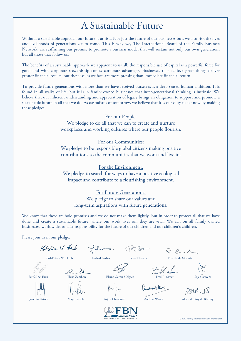# A Sustainable Future

Without a sustainable approach our future is at risk. Not just the future of our businesses but, we also risk the lives and livelihoods of generations yet to come. This is why we, The International Board of the Family Business Network, are reaffirming our promise to promote a business model that will sustain not only our own generation, but all those that follow us.

The benefits of a sustainable approach are apparent to us all: the responsible use of capital is a powerful force for good and with corporate stewardship comes corporate advantage. Businesses that achieve great things deliver greater financial results, but these issues we face are more pressing than immediate financial return.

To provide future generations with more than we have received ourselves is a deep-seated human ambition. It is found in all walks of life, but it is in family owned businesses that inter-generational thinking is intrinsic. We believe that our inherent understanding and appreciation of legacy brings an obligation to support and promote a sustainable future in all that we do. As custodians of tomorrow, we believe that it is our duty to act now by making these pledges:

#### For our People:

We pledge to do all that we can to create and nurture workplaces and working cultures where our people flourish.

For our Communities: We pledge to be responsible global citizens making positive contributions to the communities that we work and live in.

For the Environment: We pledge to search for ways to have a positive ecological impact and contribute to a flourishing environment.

### For Future Generations: We pledge to share our values and

long-term aspirations with future generations.

We know that these are bold promises and we do not make them lightly. But in order to protect all that we have done and create a sustainable future, where our work lives on, they are vital. We call on all family owned businesses, worldwide, to take responsibility for the future of our children and our children's children.

Please join us in our pledge.

 $16d\text{-}5$ ivan W. Harb  $\Rightarrow$  Robert  $P, P, A$  Karl-Erivan W. Haub Farhad Forbes Peter Therman Priscilla de Moustier Full Sam an 2 Serife Inci Eren Elena Zambon Eliane Garcia Melgaço Fred R. Sasser Sajen Aswani andra Weter Joachin Uriach Maya Faerch Arjun Chowgule Andrew Wates Alexis du Roy de Blicquy

*International* THE FAMILY BUSINESS NETWO

© 2017 Family Business Network International